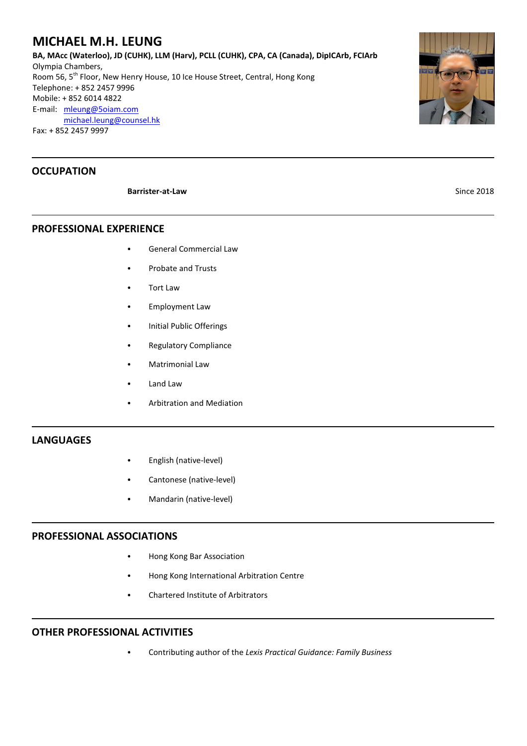# **MICHAEL M.H. LEUNG**

**BA, MAcc (Waterloo), JD (CUHK), LLM (Harv), PCLL (CUHK), CPA, CA (Canada), DipICArb, FCIArb** Olympia Chambers, Room 56, 5<sup>th</sup> Floor, New Henry House, 10 Ice House Street, Central, Hong Kong Telephone: + 852 2457 9996 Mobile: + 852 6014 4822 E-mail: [mleung@5oiam.com](mailto:mleung@5oiam.comd) [michael.leung@counsel.hk](mailto:mleung@5oiam.comd) Fax: + 852 2457 9997

# **OCCUPATION**

#### **Barrister-at-Law** Since 2018

**PROFESSIONAL EXPERIENCE**

- C General Commercial Law
- Probate and Trusts
- **Tort Law**
- Employment Law
- Initial Public Offerings
- Regulatory Compliance
- Matrimonial Law
- Land Law
- **Arbitration and Mediation**

#### **LANGUAGES**

- English (native-level)
- Cantonese (native-level)
- Mandarin (native-level)

#### **PROFESSIONAL ASSOCIATIONS**

- Hong Kong Bar Association
- Hong Kong International Arbitration Centre
- Chartered Institute of Arbitrators

#### **OTHER PROFESSIONAL ACTIVITIES**

C Contributing author of the *Lexis Practical Guidance: Family Business*

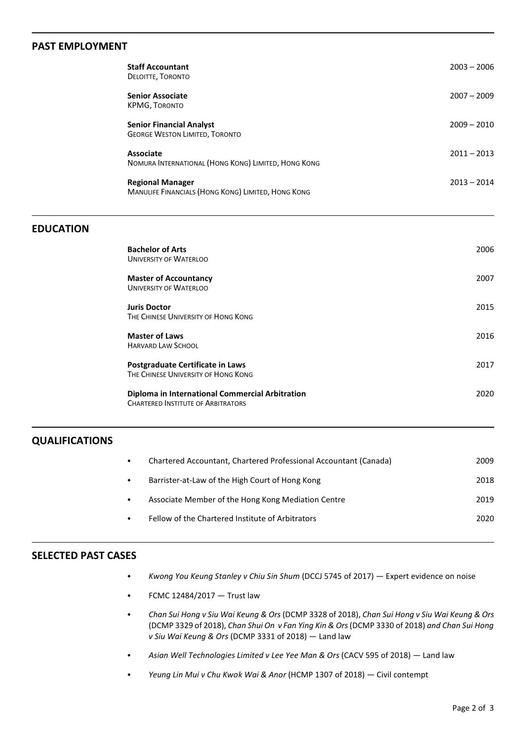## **PAST EMPLOYMENT**

| <b>Staff Accountant</b><br>DELOITTE, TORONTO                                  | $2003 - 2006$ |
|-------------------------------------------------------------------------------|---------------|
| <b>Senior Associate</b><br><b>KPMG, TORONTO</b>                               | $2007 - 2009$ |
| <b>Senior Financial Analyst</b><br><b>GEORGE WESTON LIMITED, TORONTO</b>      | $2009 - 2010$ |
| Associate<br>NOMURA INTERNATIONAL (HONG KONG) LIMITED, HONG KONG              | $2011 - 2013$ |
| <b>Regional Manager</b><br>MANULIFE FINANCIALS (HONG KONG) LIMITED, HONG KONG | $2013 - 2014$ |

# **EDUCATION**

| <b>Bachelor of Arts</b><br><b>UNIVERSITY OF WATERLOO</b>                                     | 2006  |
|----------------------------------------------------------------------------------------------|-------|
| <b>Master of Accountancy</b><br><b>UNIVERSITY OF WATERLOO</b>                                | 2007  |
| <b>Juris Doctor</b><br>THE CHINESE UNIVERSITY OF HONG KONG                                   | 2015  |
| <b>Master of Laws</b><br><b>HARVARD LAW SCHOOL</b>                                           | 2016  |
| <b>Postgraduate Certificate in Laws</b><br>THE CHINESE UNIVERSITY OF HONG KONG               | 2017  |
| Diploma in International Commercial Arbitration<br><b>CHARTERED INSTITUTE OF ARBITRATORS</b> | 2020. |

### **QUALIFICATIONS**

| $\bullet$ | Chartered Accountant, Chartered Professional Accountant (Canada) | 2009  |
|-----------|------------------------------------------------------------------|-------|
| $\bullet$ | Barrister-at-Law of the High Court of Hong Kong                  | 2018  |
| $\bullet$ | Associate Member of the Hong Kong Mediation Centre               | 2019  |
|           | Fellow of the Chartered Institute of Arbitrators                 | 2020. |
|           |                                                                  |       |

#### **SELECTED PAST CASES**

- C *Kwong You Keung Stanley v Chiu Sin Shum* (DCCJ 5745 of 2017) Expert evidence on noise
- $\bullet$  FCMC 12484/2017 Trust law
- C *Chan Sui Hong v Siu Wai Keung & Ors* (DCMP 3328 of 2018), *Chan Sui Hong v Siu Wai Keung & Ors* (DCMP 3329 of 2018), *Chan Shui On v Fan Ying Kin & Ors*(DCMP 3330 of 2018) *and Chan Sui Hong v Siu Wai Keung & Ors* (DCMP 3331 of 2018) — Land law
- C *Asian Well Technologies Limited v Lee Yee Man & Ors* (CACV 595 of 2018) Land law
- Yeung Lin Mui v Chu Kwok Wai & Anor (HCMP 1307 of 2018) Civil contempt